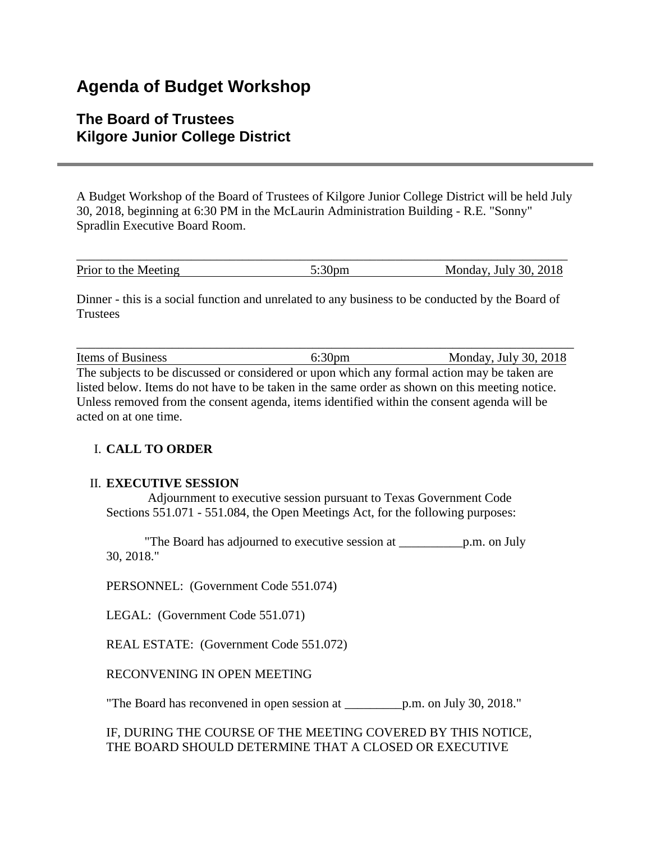# **Agenda of Budget Workshop**

# **The Board of Trustees Kilgore Junior College District**

A Budget Workshop of the Board of Trustees of Kilgore Junior College District will be held July 30, 2018, beginning at 6:30 PM in the McLaurin Administration Building - R.E. "Sonny" Spradlin Executive Board Room.

| Prior to the Meeting | Monday, July 30, 2018 |
|----------------------|-----------------------|

Dinner - this is a social function and unrelated to any business to be conducted by the Board of **Trustees** 

\_\_\_\_\_\_\_\_\_\_\_\_\_\_\_\_\_\_\_\_\_\_\_\_\_\_\_\_\_\_\_\_\_\_\_\_\_\_\_\_\_\_\_\_\_\_\_\_\_\_\_\_\_\_\_\_\_\_\_\_\_\_\_\_\_\_\_\_\_\_\_\_\_\_\_\_\_\_ Items of Business 6:30pm Monday, July 30, 2018

The subjects to be discussed or considered or upon which any formal action may be taken are listed below. Items do not have to be taken in the same order as shown on this meeting notice. Unless removed from the consent agenda, items identified within the consent agenda will be acted on at one time.

## I. **CALL TO ORDER**

#### II. **EXECUTIVE SESSION**

Adjournment to executive session pursuant to Texas Government Code Sections 551.071 - 551.084, the Open Meetings Act, for the following purposes:

"The Board has adjourned to executive session at \_\_\_\_\_\_\_\_\_\_p.m. on July 30, 2018."

PERSONNEL: (Government Code 551.074)

LEGAL: (Government Code 551.071)

REAL ESTATE: (Government Code 551.072)

RECONVENING IN OPEN MEETING

"The Board has reconvened in open session at \_\_\_\_\_\_\_\_\_p.m. on July 30, 2018."

IF, DURING THE COURSE OF THE MEETING COVERED BY THIS NOTICE, THE BOARD SHOULD DETERMINE THAT A CLOSED OR EXECUTIVE